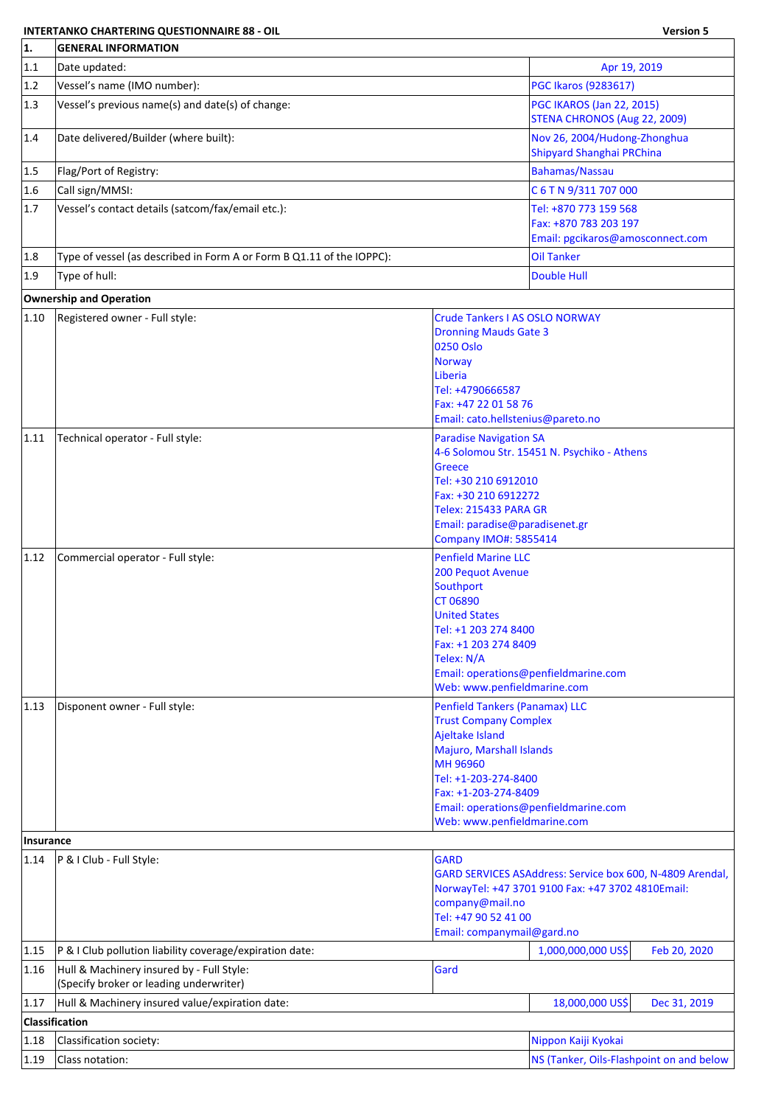## **INTERTANKO CHARTERING QUESTIONNAIRE 88 - OIL Version 5**

F.

| 1.             | <b>GENERAL INFORMATION</b>                                                           |                                                                                                                                                                                                                 |                                                                                                                |  |  |
|----------------|--------------------------------------------------------------------------------------|-----------------------------------------------------------------------------------------------------------------------------------------------------------------------------------------------------------------|----------------------------------------------------------------------------------------------------------------|--|--|
| 1.1            | Date updated:<br>Apr 19, 2019                                                        |                                                                                                                                                                                                                 |                                                                                                                |  |  |
| 1.2            | Vessel's name (IMO number):                                                          |                                                                                                                                                                                                                 | PGC Ikaros (9283617)                                                                                           |  |  |
| 1.3            | Vessel's previous name(s) and date(s) of change:                                     |                                                                                                                                                                                                                 | <b>PGC IKAROS (Jan 22, 2015)</b><br>STENA CHRONOS (Aug 22, 2009)                                               |  |  |
| 1.4            | Date delivered/Builder (where built):                                                |                                                                                                                                                                                                                 | Nov 26, 2004/Hudong-Zhonghua<br>Shipyard Shanghai PRChina                                                      |  |  |
| 1.5            | Flag/Port of Registry:                                                               |                                                                                                                                                                                                                 | <b>Bahamas/Nassau</b>                                                                                          |  |  |
| 1.6            | Call sign/MMSI:                                                                      |                                                                                                                                                                                                                 | C 6 T N 9/311 707 000                                                                                          |  |  |
| 1.7            | Vessel's contact details (satcom/fax/email etc.):                                    |                                                                                                                                                                                                                 | Tel: +870 773 159 568<br>Fax: +870 783 203 197<br>Email: pgcikaros@amosconnect.com                             |  |  |
| 1.8            | Type of vessel (as described in Form A or Form B Q1.11 of the IOPPC):                |                                                                                                                                                                                                                 | <b>Oil Tanker</b>                                                                                              |  |  |
| 1.9            | Type of hull:                                                                        |                                                                                                                                                                                                                 | <b>Double Hull</b>                                                                                             |  |  |
|                | <b>Ownership and Operation</b>                                                       |                                                                                                                                                                                                                 |                                                                                                                |  |  |
| 1.10           | Registered owner - Full style:                                                       | <b>Crude Tankers I AS OSLO NORWAY</b><br><b>Dronning Mauds Gate 3</b><br>0250 Oslo<br><b>Norway</b><br>Liberia<br>Tel: +4790666587<br>Fax: +47 22 01 58 76                                                      |                                                                                                                |  |  |
|                |                                                                                      | Email: cato.hellstenius@pareto.no                                                                                                                                                                               |                                                                                                                |  |  |
| 1.11           | Technical operator - Full style:                                                     | <b>Paradise Navigation SA</b><br><b>Greece</b><br>Tel: +30 210 6912010<br>Fax: +30 210 6912272<br>Telex: 215433 PARA GR<br>Email: paradise@paradisenet.gr<br><b>Company IMO#: 5855414</b>                       | 4-6 Solomou Str. 15451 N. Psychiko - Athens                                                                    |  |  |
| 1.12           | Commercial operator - Full style:                                                    | <b>Penfield Marine LLC</b><br>200 Pequot Avenue<br>Southport<br><b>CT 06890</b><br><b>United States</b><br>Tel: +1 203 274 8400<br>Fax: +1 203 274 8409<br>Telex: N/A<br>Web: www.penfieldmarine.com            | Email: operations@penfieldmarine.com                                                                           |  |  |
| $ 1.13\rangle$ | Disponent owner - Full style:                                                        | <b>Penfield Tankers (Panamax) LLC</b><br><b>Trust Company Complex</b><br>Ajeltake Island<br>Majuro, Marshall Islands<br>MH 96960<br>Tel: +1-203-274-8400<br>Fax: +1-203-274-8409<br>Web: www.penfieldmarine.com | Email: operations@penfieldmarine.com                                                                           |  |  |
| Insurance      |                                                                                      |                                                                                                                                                                                                                 |                                                                                                                |  |  |
| 1.14           | P & I Club - Full Style:                                                             | <b>GARD</b><br>company@mail.no<br>Tel: +47 90 52 41 00<br>Email: companymail@gard.no                                                                                                                            | GARD SERVICES ASAddress: Service box 600, N-4809 Arendal,<br>NorwayTel: +47 3701 9100 Fax: +47 3702 4810Email: |  |  |
| 1.15           | P & I Club pollution liability coverage/expiration date:                             |                                                                                                                                                                                                                 | 1,000,000,000 US\$<br>Feb 20, 2020                                                                             |  |  |
| 1.16           | Hull & Machinery insured by - Full Style:<br>(Specify broker or leading underwriter) | Gard                                                                                                                                                                                                            |                                                                                                                |  |  |
| 1.17           | Hull & Machinery insured value/expiration date:                                      |                                                                                                                                                                                                                 | 18,000,000 US\$<br>Dec 31, 2019                                                                                |  |  |
|                | <b>Classification</b>                                                                |                                                                                                                                                                                                                 |                                                                                                                |  |  |
| 1.18           | Classification society:                                                              |                                                                                                                                                                                                                 | Nippon Kaiji Kyokai                                                                                            |  |  |
| 1.19           | Class notation:                                                                      |                                                                                                                                                                                                                 | NS (Tanker, Oils-Flashpoint on and below                                                                       |  |  |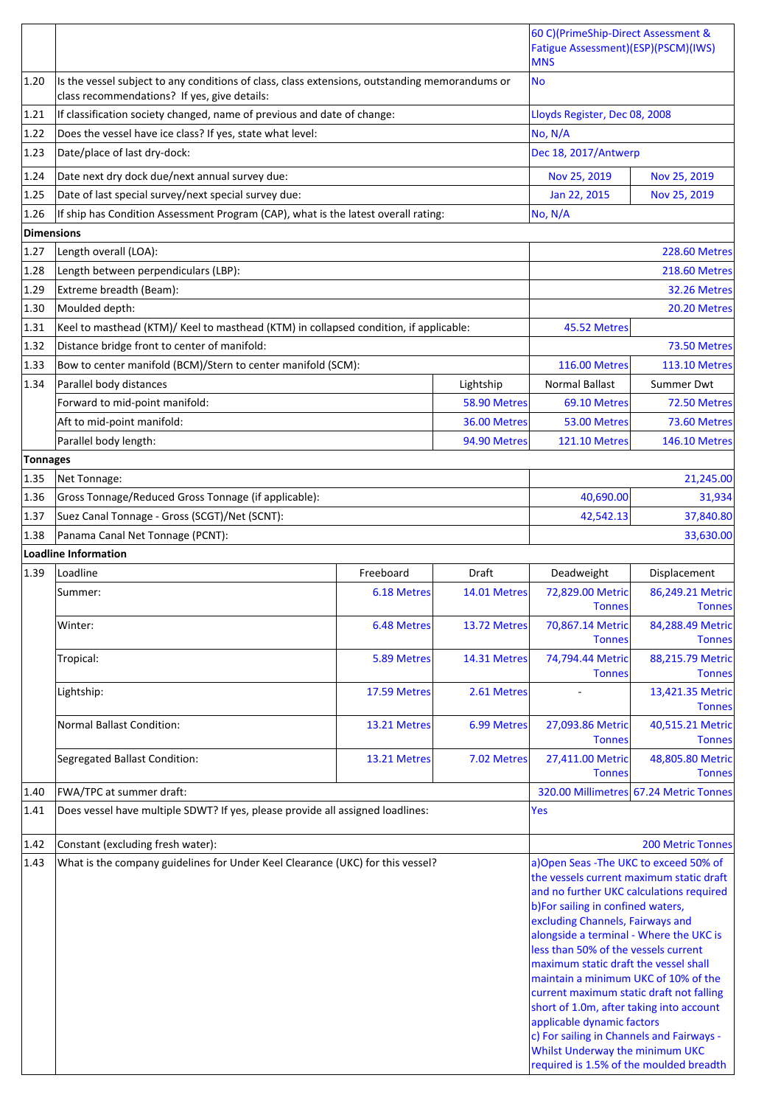|                 |                                                                                                                                                |              |                           | 60 C)(PrimeShip-Direct Assessment &<br>Fatigue Assessment)(ESP)(PSCM)(IWS)<br><b>MNS</b>                                                                                                                                                                                                                                                                                                                                                                                                             |                                        |
|-----------------|------------------------------------------------------------------------------------------------------------------------------------------------|--------------|---------------------------|------------------------------------------------------------------------------------------------------------------------------------------------------------------------------------------------------------------------------------------------------------------------------------------------------------------------------------------------------------------------------------------------------------------------------------------------------------------------------------------------------|----------------------------------------|
| 1.20            | Is the vessel subject to any conditions of class, class extensions, outstanding memorandums or<br>class recommendations? If yes, give details: |              |                           | <b>No</b>                                                                                                                                                                                                                                                                                                                                                                                                                                                                                            |                                        |
| 1.21            | If classification society changed, name of previous and date of change:                                                                        |              |                           | Lloyds Register, Dec 08, 2008                                                                                                                                                                                                                                                                                                                                                                                                                                                                        |                                        |
| 1.22            | Does the vessel have ice class? If yes, state what level:                                                                                      |              |                           | No, N/A                                                                                                                                                                                                                                                                                                                                                                                                                                                                                              |                                        |
| 1.23            | Date/place of last dry-dock:                                                                                                                   |              |                           | Dec 18, 2017/Antwerp                                                                                                                                                                                                                                                                                                                                                                                                                                                                                 |                                        |
| 1.24            | Date next dry dock due/next annual survey due:                                                                                                 |              |                           | Nov 25, 2019                                                                                                                                                                                                                                                                                                                                                                                                                                                                                         | Nov 25, 2019                           |
| 1.25            | Date of last special survey/next special survey due:                                                                                           |              |                           | Jan 22, 2015                                                                                                                                                                                                                                                                                                                                                                                                                                                                                         | Nov 25, 2019                           |
| 1.26            | If ship has Condition Assessment Program (CAP), what is the latest overall rating:                                                             |              |                           | No, N/A                                                                                                                                                                                                                                                                                                                                                                                                                                                                                              |                                        |
| Dimensions      |                                                                                                                                                |              |                           |                                                                                                                                                                                                                                                                                                                                                                                                                                                                                                      |                                        |
| 1.27            | Length overall (LOA):                                                                                                                          |              |                           |                                                                                                                                                                                                                                                                                                                                                                                                                                                                                                      | <b>228.60 Metres</b>                   |
| 1.28            | Length between perpendiculars (LBP):                                                                                                           |              |                           |                                                                                                                                                                                                                                                                                                                                                                                                                                                                                                      | <b>218.60 Metres</b>                   |
| 1.29            | Extreme breadth (Beam):                                                                                                                        |              |                           |                                                                                                                                                                                                                                                                                                                                                                                                                                                                                                      | 32.26 Metres                           |
| 1.30            | Moulded depth:                                                                                                                                 |              |                           |                                                                                                                                                                                                                                                                                                                                                                                                                                                                                                      | 20.20 Metres                           |
| 1.31            | Keel to masthead (KTM)/ Keel to masthead (KTM) in collapsed condition, if applicable:                                                          |              |                           | 45.52 Metres                                                                                                                                                                                                                                                                                                                                                                                                                                                                                         |                                        |
| 1.32            | Distance bridge front to center of manifold:                                                                                                   |              |                           |                                                                                                                                                                                                                                                                                                                                                                                                                                                                                                      | 73.50 Metres                           |
| 1.33<br>1.34    | Bow to center manifold (BCM)/Stern to center manifold (SCM):                                                                                   |              |                           | <b>116.00 Metres</b>                                                                                                                                                                                                                                                                                                                                                                                                                                                                                 | <b>113.10 Metres</b>                   |
|                 | Parallel body distances<br>Forward to mid-point manifold:                                                                                      |              | Lightship<br>58.90 Metres | <b>Normal Ballast</b><br>69.10 Metres                                                                                                                                                                                                                                                                                                                                                                                                                                                                | <b>Summer Dwt</b><br>72.50 Metres      |
|                 | Aft to mid-point manifold:                                                                                                                     |              | 36.00 Metres              | 53.00 Metres                                                                                                                                                                                                                                                                                                                                                                                                                                                                                         | 73.60 Metres                           |
|                 | Parallel body length:                                                                                                                          |              | 94.90 Metres              | <b>121.10 Metres</b>                                                                                                                                                                                                                                                                                                                                                                                                                                                                                 | <b>146.10 Metres</b>                   |
| <b>Tonnages</b> |                                                                                                                                                |              |                           |                                                                                                                                                                                                                                                                                                                                                                                                                                                                                                      |                                        |
| 1.35            | Net Tonnage:                                                                                                                                   |              |                           |                                                                                                                                                                                                                                                                                                                                                                                                                                                                                                      | 21,245.00                              |
| 1.36            | Gross Tonnage/Reduced Gross Tonnage (if applicable):                                                                                           |              |                           | 40,690.00                                                                                                                                                                                                                                                                                                                                                                                                                                                                                            | 31,934                                 |
| 1.37            | Suez Canal Tonnage - Gross (SCGT)/Net (SCNT):                                                                                                  |              |                           | 42,542.13                                                                                                                                                                                                                                                                                                                                                                                                                                                                                            | 37,840.80                              |
| 1.38            | Panama Canal Net Tonnage (PCNT):                                                                                                               |              |                           |                                                                                                                                                                                                                                                                                                                                                                                                                                                                                                      | 33,630.00                              |
|                 | Loadline Information                                                                                                                           |              |                           |                                                                                                                                                                                                                                                                                                                                                                                                                                                                                                      |                                        |
| 1.39            | Loadline                                                                                                                                       | Freeboard    | Draft                     | Deadweight                                                                                                                                                                                                                                                                                                                                                                                                                                                                                           | Displacement                           |
|                 | Summer:                                                                                                                                        | 6.18 Metres  | 14.01 Metres              | 72,829.00 Metric<br><b>Tonnes</b>                                                                                                                                                                                                                                                                                                                                                                                                                                                                    | 86,249.21 Metric<br><b>Tonnes</b>      |
|                 | Winter:                                                                                                                                        | 6.48 Metres  | 13.72 Metres              | 70,867.14 Metric<br><b>Tonnes</b>                                                                                                                                                                                                                                                                                                                                                                                                                                                                    | 84,288.49 Metric<br><b>Tonnes</b>      |
|                 | Tropical:                                                                                                                                      | 5.89 Metres  | 14.31 Metres              | 74,794.44 Metric<br><b>Tonnes</b>                                                                                                                                                                                                                                                                                                                                                                                                                                                                    | 88,215.79 Metric<br><b>Tonnes</b>      |
|                 | Lightship:                                                                                                                                     | 17.59 Metres | 2.61 Metres               |                                                                                                                                                                                                                                                                                                                                                                                                                                                                                                      | 13,421.35 Metric<br><b>Tonnes</b>      |
|                 | <b>Normal Ballast Condition:</b>                                                                                                               | 13.21 Metres | 6.99 Metres               | 27,093.86 Metric<br><b>Tonnes</b>                                                                                                                                                                                                                                                                                                                                                                                                                                                                    | 40,515.21 Metric<br><b>Tonnes</b>      |
|                 | <b>Segregated Ballast Condition:</b>                                                                                                           | 13.21 Metres | 7.02 Metres               | 27,411.00 Metric<br><b>Tonnes</b>                                                                                                                                                                                                                                                                                                                                                                                                                                                                    | 48,805.80 Metric<br><b>Tonnes</b>      |
| 1.40            | FWA/TPC at summer draft:                                                                                                                       |              |                           |                                                                                                                                                                                                                                                                                                                                                                                                                                                                                                      | 320.00 Millimetres 67.24 Metric Tonnes |
| 1.41            | Does vessel have multiple SDWT? If yes, please provide all assigned loadlines:                                                                 |              |                           | Yes                                                                                                                                                                                                                                                                                                                                                                                                                                                                                                  |                                        |
| 1.42            | Constant (excluding fresh water):                                                                                                              |              |                           |                                                                                                                                                                                                                                                                                                                                                                                                                                                                                                      | <b>200 Metric Tonnes</b>               |
| 1.43            | What is the company guidelines for Under Keel Clearance (UKC) for this vessel?                                                                 |              |                           | a) Open Seas - The UKC to exceed 50% of                                                                                                                                                                                                                                                                                                                                                                                                                                                              |                                        |
|                 |                                                                                                                                                |              |                           | the vessels current maximum static draft<br>and no further UKC calculations required<br>b)For sailing in confined waters,<br>excluding Channels, Fairways and<br>alongside a terminal - Where the UKC is<br>less than 50% of the vessels current<br>maximum static draft the vessel shall<br>maintain a minimum UKC of 10% of the<br>current maximum static draft not falling<br>short of 1.0m, after taking into account<br>applicable dynamic factors<br>c) For sailing in Channels and Fairways - |                                        |
|                 |                                                                                                                                                |              |                           | Whilst Underway the minimum UKC<br>required is 1.5% of the moulded breadth                                                                                                                                                                                                                                                                                                                                                                                                                           |                                        |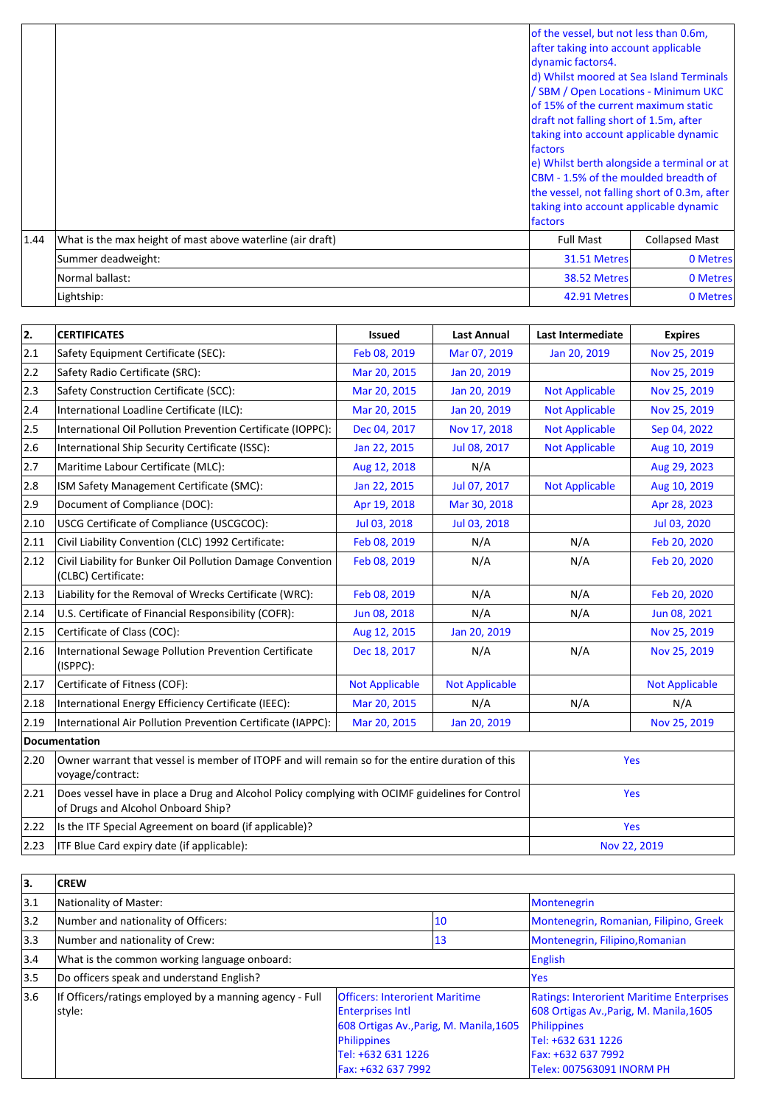|      |                                                            | of the vessel, but not less than 0.6m,<br>after taking into account applicable<br>dynamic factors4.<br>d) Whilst moored at Sea Island Terminals<br>/ SBM / Open Locations - Minimum UKC<br>lof 15% of the current maximum static<br>draft not falling short of 1.5m, after<br>taking into account applicable dynamic<br><i><u><b>Ifactors</b></u></i><br>e) Whilst berth alongside a terminal or at<br><b>ICBM</b> - 1.5% of the moulded breadth of<br>the vessel, not falling short of 0.3m, after<br>taking into account applicable dynamic<br><i><u><b>Ifactors</b></u></i> |                       |
|------|------------------------------------------------------------|--------------------------------------------------------------------------------------------------------------------------------------------------------------------------------------------------------------------------------------------------------------------------------------------------------------------------------------------------------------------------------------------------------------------------------------------------------------------------------------------------------------------------------------------------------------------------------|-----------------------|
| 1.44 | What is the max height of mast above waterline (air draft) | <b>Full Mast</b>                                                                                                                                                                                                                                                                                                                                                                                                                                                                                                                                                               | <b>Collapsed Mast</b> |
|      | Summer deadweight:                                         | 31.51 Metres                                                                                                                                                                                                                                                                                                                                                                                                                                                                                                                                                                   | 0 Metres              |
|      | Normal ballast:                                            | 38.52 Metres                                                                                                                                                                                                                                                                                                                                                                                                                                                                                                                                                                   | 0 Metres              |
|      | Lightship:                                                 | 42.91 Metres                                                                                                                                                                                                                                                                                                                                                                                                                                                                                                                                                                   | 0 Metres              |

| 2.   | <b>CERTIFICATES</b>                                                                                                                   | <b>Issued</b>         | <b>Last Annual</b>    | Last Intermediate     | <b>Expires</b>        |
|------|---------------------------------------------------------------------------------------------------------------------------------------|-----------------------|-----------------------|-----------------------|-----------------------|
| 2.1  | Safety Equipment Certificate (SEC):                                                                                                   | Feb 08, 2019          | Mar 07, 2019          | Jan 20, 2019          | Nov 25, 2019          |
| 2.2  | Safety Radio Certificate (SRC):                                                                                                       | Mar 20, 2015          | Jan 20, 2019          |                       | Nov 25, 2019          |
| 2.3  | Safety Construction Certificate (SCC):                                                                                                | Mar 20, 2015          | Jan 20, 2019          | <b>Not Applicable</b> | Nov 25, 2019          |
| 2.4  | International Loadline Certificate (ILC):                                                                                             | Mar 20, 2015          | Jan 20, 2019          | <b>Not Applicable</b> | Nov 25, 2019          |
| 2.5  | International Oil Pollution Prevention Certificate (IOPPC):                                                                           | Dec 04, 2017          | Nov 17, 2018          | <b>Not Applicable</b> | Sep 04, 2022          |
| 2.6  | International Ship Security Certificate (ISSC):                                                                                       | Jan 22, 2015          | Jul 08, 2017          | <b>Not Applicable</b> | Aug 10, 2019          |
| 2.7  | Maritime Labour Certificate (MLC):                                                                                                    | Aug 12, 2018          | N/A                   |                       | Aug 29, 2023          |
| 2.8  | ISM Safety Management Certificate (SMC):                                                                                              | Jan 22, 2015          | Jul 07, 2017          | <b>Not Applicable</b> | Aug 10, 2019          |
| 2.9  | Document of Compliance (DOC):                                                                                                         | Apr 19, 2018          | Mar 30, 2018          |                       | Apr 28, 2023          |
| 2.10 | USCG Certificate of Compliance (USCGCOC):                                                                                             | Jul 03, 2018          | Jul 03, 2018          |                       | Jul 03, 2020          |
| 2.11 | Civil Liability Convention (CLC) 1992 Certificate:                                                                                    | Feb 08, 2019          | N/A                   | N/A                   | Feb 20, 2020          |
| 2.12 | Civil Liability for Bunker Oil Pollution Damage Convention<br>(CLBC) Certificate:                                                     | Feb 08, 2019          | N/A                   | N/A                   | Feb 20, 2020          |
| 2.13 | Liability for the Removal of Wrecks Certificate (WRC):                                                                                | Feb 08, 2019          | N/A                   | N/A                   | Feb 20, 2020          |
| 2.14 | U.S. Certificate of Financial Responsibility (COFR):                                                                                  | Jun 08, 2018          | N/A                   | N/A                   | Jun 08, 2021          |
| 2.15 | Certificate of Class (COC):                                                                                                           | Aug 12, 2015          | Jan 20, 2019          |                       | Nov 25, 2019          |
| 2.16 | International Sewage Pollution Prevention Certificate<br>(ISPPC):                                                                     | Dec 18, 2017          | N/A                   | N/A                   | Nov 25, 2019          |
| 2.17 | Certificate of Fitness (COF):                                                                                                         | <b>Not Applicable</b> | <b>Not Applicable</b> |                       | <b>Not Applicable</b> |
| 2.18 | International Energy Efficiency Certificate (IEEC):                                                                                   | Mar 20, 2015          | N/A                   | N/A                   | N/A                   |
| 2.19 | International Air Pollution Prevention Certificate (IAPPC):                                                                           | Mar 20, 2015          | Jan 20, 2019          |                       | Nov 25, 2019          |
|      | Documentation                                                                                                                         |                       |                       |                       |                       |
| 2.20 | Owner warrant that vessel is member of ITOPF and will remain so for the entire duration of this<br>voyage/contract:                   |                       |                       |                       | Yes                   |
| 2.21 | Does vessel have in place a Drug and Alcohol Policy complying with OCIMF guidelines for Control<br>of Drugs and Alcohol Onboard Ship? |                       |                       |                       | Yes                   |
| 2.22 | Is the ITF Special Agreement on board (if applicable)?                                                                                |                       |                       | Yes                   |                       |
| 2.23 | ITF Blue Card expiry date (if applicable):                                                                                            |                       |                       | Nov 22, 2019          |                       |

| 3.            | <b>CREW</b>                                             |                                         |    |                                                  |
|---------------|---------------------------------------------------------|-----------------------------------------|----|--------------------------------------------------|
| 3.1           | Nationality of Master:                                  |                                         |    | Montenegrin                                      |
| $ 3.2\rangle$ | Number and nationality of Officers:                     |                                         | 10 | Montenegrin, Romanian, Filipino, Greek           |
| $ 3.3\rangle$ | Number and nationality of Crew:                         |                                         | 13 | Montenegrin, Filipino, Romanian                  |
| 3.4           | What is the common working language onboard:            |                                         |    | English                                          |
| 3.5           | Do officers speak and understand English?               |                                         |    | <b>Yes</b>                                       |
| 3.6           | If Officers/ratings employed by a manning agency - Full | <b>Officers: Interorient Maritime</b>   |    | <b>Ratings: Interorient Maritime Enterprises</b> |
|               | style:                                                  | <b>Enterprises Intl</b>                 |    | 608 Ortigas Av., Parig, M. Manila, 1605          |
|               |                                                         | 608 Ortigas Av., Parig, M. Manila, 1605 |    | Philippines                                      |
|               |                                                         | Philippines                             |    | Tel: +632 631 1226                               |
|               |                                                         | Tel: +632 631 1226                      |    | Fax: +632 637 7992                               |
|               |                                                         | Fax: +632 637 7992                      |    | Telex: 007563091 INORM PH                        |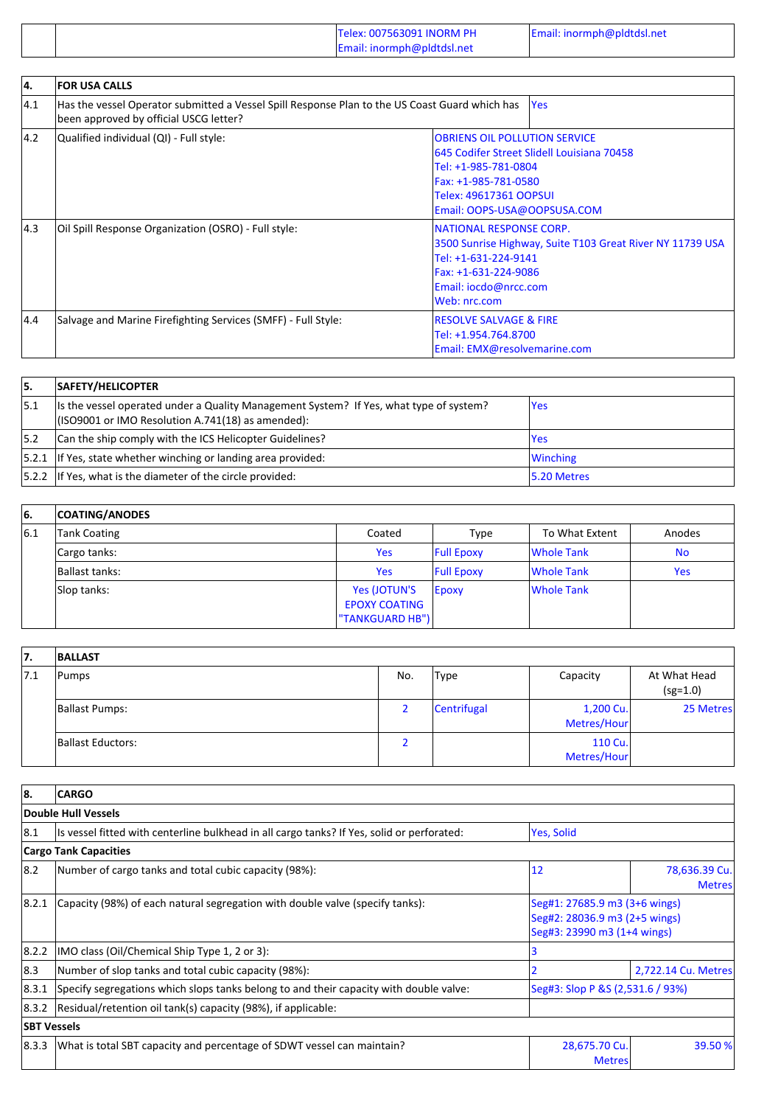|  | Telex: 007563091 INORM PH<br>Email: inormph@pldtdsl.net | Email: inormph@pldtdsl.net |
|--|---------------------------------------------------------|----------------------------|
|--|---------------------------------------------------------|----------------------------|

| 14. | <b>FOR USA CALLS</b>                                                                                                                     |                                                                                                                                                                                             |
|-----|------------------------------------------------------------------------------------------------------------------------------------------|---------------------------------------------------------------------------------------------------------------------------------------------------------------------------------------------|
| 4.1 | Has the vessel Operator submitted a Vessel Spill Response Plan to the US Coast Guard which has<br>been approved by official USCG letter? | <b>Yes</b>                                                                                                                                                                                  |
| 4.2 | Qualified individual (QI) - Full style:                                                                                                  | <b>OBRIENS OIL POLLUTION SERVICE</b><br>645 Codifer Street Slidell Louisiana 70458<br>Tel: +1-985-781-0804<br>Fax: +1-985-781-0580<br>Telex: 49617361 OOPSUI<br>Email: OOPS-USA@OOPSUSA.COM |
| 4.3 | Oil Spill Response Organization (OSRO) - Full style:                                                                                     | NATIONAL RESPONSE CORP.<br>3500 Sunrise Highway, Suite T103 Great River NY 11739 USA<br>Tel: +1-631-224-9141<br>Fax: +1-631-224-9086<br>Email: iocdo@nrcc.com<br>Web: nrc.com               |
| 4.4 | Salvage and Marine Firefighting Services (SMFF) - Full Style:                                                                            | <b>RESOLVE SALVAGE &amp; FIRE</b><br>Tel: +1.954.764.8700<br>Email: EMX@resolvemarine.com                                                                                                   |

| 15. | SAFETY/HELICOPTER                                                                                                                            |                 |
|-----|----------------------------------------------------------------------------------------------------------------------------------------------|-----------------|
| 5.1 | Its the vessel operated under a Quality Management System? If Yes, what type of system?<br>(ISO9001 or IMO Resolution A.741(18) as amended): | lYes            |
| 5.2 | Can the ship comply with the ICS Helicopter Guidelines?                                                                                      | lYes            |
|     | $ 5.2.1 $ If Yes, state whether winching or landing area provided:                                                                           | <b>Winching</b> |
|     | $ 5.2.2 $ If Yes, what is the diameter of the circle provided:                                                                               | 15.20 Metres    |

| 16. | <b>COATING/ANODES</b> |                                                               |                   |                   |            |
|-----|-----------------------|---------------------------------------------------------------|-------------------|-------------------|------------|
| 6.1 | Tank Coating          | Coated                                                        | Type              | To What Extent    | Anodes     |
|     | Cargo tanks:          | <b>Yes</b>                                                    | <b>Full Epoxy</b> | <b>Whole Tank</b> | <b>No</b>  |
|     | Ballast tanks:        | <b>Yes</b>                                                    | <b>Full Epoxy</b> | Whole Tank        | <b>Yes</b> |
|     | Slop tanks:           | Yes (JOTUN'S<br><b>EPOXY COATING</b><br><b>TANKGUARD HB")</b> | Epoxy             | <b>Whole Tank</b> |            |

| 7.  | <b>BALLAST</b>        |     |             |                          |                            |
|-----|-----------------------|-----|-------------|--------------------------|----------------------------|
| 7.1 | Pumps                 | No. | <b>Type</b> | Capacity                 | At What Head<br>$(sg=1.0)$ |
|     | <b>Ballast Pumps:</b> |     | Centrifugal | 1,200 Cu.<br>Metres/Hour | 25 Metres                  |
|     | Ballast Eductors:     |     |             | 110 Cu.<br>Metres/Hour   |                            |

| 8.                 | <b>CARGO</b>                                                                               |                                                                                               |                                |  |  |  |
|--------------------|--------------------------------------------------------------------------------------------|-----------------------------------------------------------------------------------------------|--------------------------------|--|--|--|
|                    | Double Hull Vessels                                                                        |                                                                                               |                                |  |  |  |
| 8.1                | Is vessel fitted with centerline bulkhead in all cargo tanks? If Yes, solid or perforated: | <b>Yes, Solid</b>                                                                             |                                |  |  |  |
|                    | <b>Cargo Tank Capacities</b>                                                               |                                                                                               |                                |  |  |  |
| 8.2                | Number of cargo tanks and total cubic capacity (98%):                                      | 12                                                                                            | 78,636.39 Cu.<br><b>Metres</b> |  |  |  |
| 8.2.1              | Capacity (98%) of each natural segregation with double valve (specify tanks):              | Seg#1: 27685.9 m3 (3+6 wings)<br>Seg#2: 28036.9 m3 (2+5 wings)<br>Seg#3: 23990 m3 (1+4 wings) |                                |  |  |  |
| 8.2.2              | IMO class (Oil/Chemical Ship Type 1, 2 or 3):                                              |                                                                                               |                                |  |  |  |
| 8.3                | Number of slop tanks and total cubic capacity (98%):                                       |                                                                                               | 2,722.14 Cu. Metres            |  |  |  |
| 8.3.1              | Specify segregations which slops tanks belong to and their capacity with double valve:     | Seg#3: Slop P &S (2,531.6 / 93%)                                                              |                                |  |  |  |
| 8.3.2              | Residual/retention oil tank(s) capacity (98%), if applicable:                              |                                                                                               |                                |  |  |  |
| <b>SBT Vessels</b> |                                                                                            |                                                                                               |                                |  |  |  |
| 8.3.3              | What is total SBT capacity and percentage of SDWT vessel can maintain?                     | 28,675.70 Cu.<br><b>Metres</b>                                                                | 39.50 %                        |  |  |  |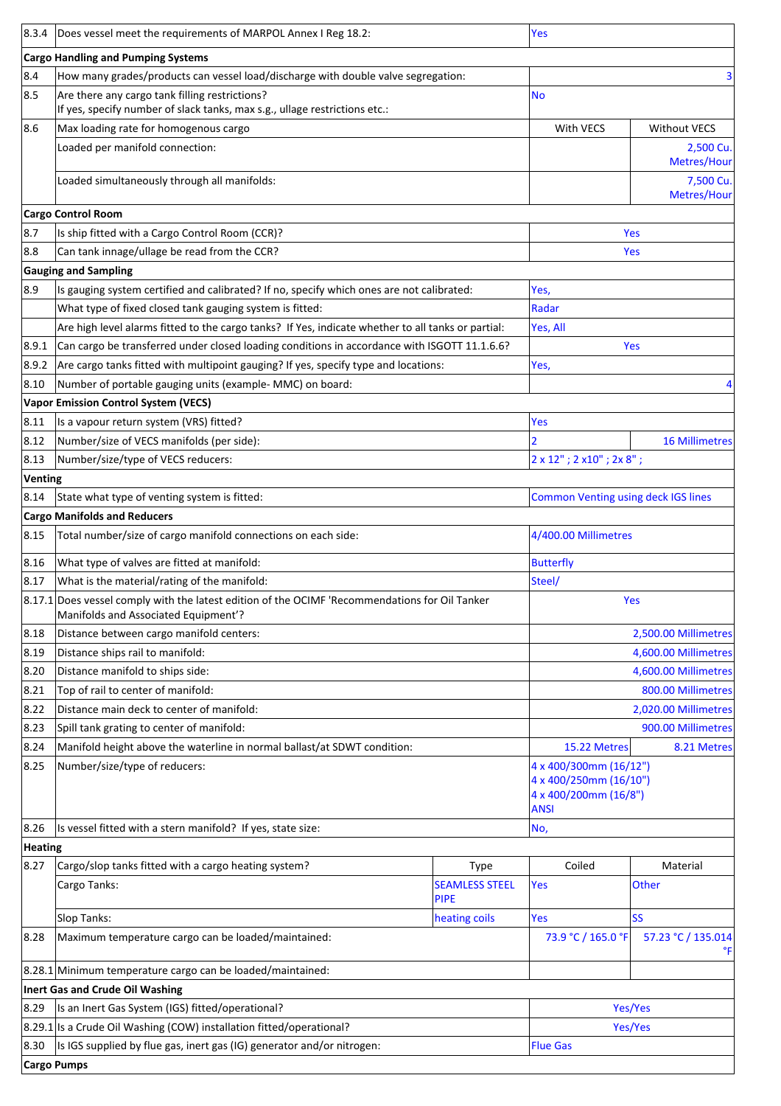| 8.3.4   | Does vessel meet the requirements of MARPOL Annex I Reg 18.2:                                                                          |                                      | Yes                                                                                      |                          |  |
|---------|----------------------------------------------------------------------------------------------------------------------------------------|--------------------------------------|------------------------------------------------------------------------------------------|--------------------------|--|
|         | <b>Cargo Handling and Pumping Systems</b>                                                                                              |                                      |                                                                                          |                          |  |
| 8.4     | How many grades/products can vessel load/discharge with double valve segregation:                                                      |                                      |                                                                                          | 3                        |  |
| 8.5     | Are there any cargo tank filling restrictions?                                                                                         |                                      | <b>No</b>                                                                                |                          |  |
|         | If yes, specify number of slack tanks, max s.g., ullage restrictions etc.:                                                             |                                      |                                                                                          |                          |  |
| 8.6     | Max loading rate for homogenous cargo                                                                                                  |                                      | With VECS                                                                                | <b>Without VECS</b>      |  |
|         | Loaded per manifold connection:                                                                                                        |                                      |                                                                                          | 2,500 Cu.<br>Metres/Hour |  |
|         | Loaded simultaneously through all manifolds:                                                                                           |                                      |                                                                                          | 7,500 Cu.<br>Metres/Hour |  |
|         | <b>Cargo Control Room</b>                                                                                                              |                                      |                                                                                          |                          |  |
| 8.7     | Is ship fitted with a Cargo Control Room (CCR)?                                                                                        |                                      |                                                                                          | Yes                      |  |
| 8.8     | Can tank innage/ullage be read from the CCR?                                                                                           |                                      |                                                                                          | Yes                      |  |
|         | <b>Gauging and Sampling</b>                                                                                                            |                                      |                                                                                          |                          |  |
| 8.9     | Is gauging system certified and calibrated? If no, specify which ones are not calibrated:                                              |                                      | Yes,                                                                                     |                          |  |
|         | What type of fixed closed tank gauging system is fitted:                                                                               |                                      | Radar                                                                                    |                          |  |
|         | Are high level alarms fitted to the cargo tanks? If Yes, indicate whether to all tanks or partial:                                     |                                      | Yes, All                                                                                 |                          |  |
| 8.9.1   | Can cargo be transferred under closed loading conditions in accordance with ISGOTT 11.1.6.6?                                           |                                      |                                                                                          | Yes                      |  |
| 8.9.2   | Are cargo tanks fitted with multipoint gauging? If yes, specify type and locations:                                                    |                                      | Yes,                                                                                     |                          |  |
| 8.10    | Number of portable gauging units (example- MMC) on board:                                                                              |                                      |                                                                                          |                          |  |
|         | <b>Vapor Emission Control System (VECS)</b>                                                                                            |                                      |                                                                                          |                          |  |
| 8.11    | Is a vapour return system (VRS) fitted?                                                                                                |                                      | Yes                                                                                      |                          |  |
| 8.12    | Number/size of VECS manifolds (per side):                                                                                              |                                      |                                                                                          | <b>16 Millimetres</b>    |  |
| 8.13    | Number/size/type of VECS reducers:                                                                                                     |                                      | $2 \times 12$ "; $2 \times 10$ "; $2 \times 8$ ";                                        |                          |  |
| Venting |                                                                                                                                        |                                      |                                                                                          |                          |  |
| 8.14    | State what type of venting system is fitted:                                                                                           |                                      | <b>Common Venting using deck IGS lines</b>                                               |                          |  |
|         | <b>Cargo Manifolds and Reducers</b>                                                                                                    |                                      |                                                                                          |                          |  |
| 8.15    | Total number/size of cargo manifold connections on each side:                                                                          |                                      | 4/400.00 Millimetres                                                                     |                          |  |
| 8.16    | What type of valves are fitted at manifold:                                                                                            |                                      | <b>Butterfly</b>                                                                         |                          |  |
| 8.17    | What is the material/rating of the manifold:                                                                                           |                                      | Steel/                                                                                   |                          |  |
|         | 8.17.1 Does vessel comply with the latest edition of the OCIMF 'Recommendations for Oil Tanker<br>Manifolds and Associated Equipment'? |                                      | Yes                                                                                      |                          |  |
| 8.18    | Distance between cargo manifold centers:                                                                                               |                                      |                                                                                          | 2,500.00 Millimetres     |  |
| 8.19    | Distance ships rail to manifold:                                                                                                       |                                      | 4,600.00 Millimetres                                                                     |                          |  |
| 8.20    | Distance manifold to ships side:                                                                                                       |                                      | 4,600.00 Millimetres                                                                     |                          |  |
| 8.21    | Top of rail to center of manifold:                                                                                                     |                                      | 800.00 Millimetres                                                                       |                          |  |
| 8.22    | Distance main deck to center of manifold:                                                                                              |                                      |                                                                                          | 2,020.00 Millimetres     |  |
| 8.23    | Spill tank grating to center of manifold:                                                                                              |                                      |                                                                                          | 900.00 Millimetres       |  |
| 8.24    | Manifold height above the waterline in normal ballast/at SDWT condition:                                                               |                                      | 15.22 Metres                                                                             | 8.21 Metres              |  |
| 8.25    | Number/size/type of reducers:                                                                                                          |                                      | 4 x 400/300mm (16/12")<br>4 x 400/250mm (16/10")<br>4 x 400/200mm (16/8")<br><b>ANSI</b> |                          |  |
| 8.26    | Is vessel fitted with a stern manifold? If yes, state size:                                                                            |                                      | No,                                                                                      |                          |  |
| Heating |                                                                                                                                        |                                      |                                                                                          |                          |  |
| 8.27    | Cargo/slop tanks fitted with a cargo heating system?                                                                                   | Type                                 | Coiled                                                                                   | Material                 |  |
|         | Cargo Tanks:                                                                                                                           | <b>SEAMLESS STEEL</b><br><b>PIPE</b> | Yes                                                                                      | <b>Other</b>             |  |
|         | Slop Tanks:                                                                                                                            | heating coils                        | Yes                                                                                      | <b>SS</b>                |  |
| 8.28    | Maximum temperature cargo can be loaded/maintained:                                                                                    |                                      | 73.9 °C / 165.0 °F                                                                       | 57.23 °C / 135.014<br>°F |  |
|         | 8.28.1 Minimum temperature cargo can be loaded/maintained:                                                                             |                                      |                                                                                          |                          |  |
|         | Inert Gas and Crude Oil Washing                                                                                                        |                                      |                                                                                          |                          |  |
| 8.29    | Is an Inert Gas System (IGS) fitted/operational?                                                                                       |                                      |                                                                                          | Yes/Yes                  |  |
|         | 8.29.1 Is a Crude Oil Washing (COW) installation fitted/operational?                                                                   |                                      |                                                                                          | Yes/Yes                  |  |
| 8.30    | Is IGS supplied by flue gas, inert gas (IG) generator and/or nitrogen:                                                                 |                                      | <b>Flue Gas</b>                                                                          |                          |  |
|         | <b>Cargo Pumps</b>                                                                                                                     |                                      |                                                                                          |                          |  |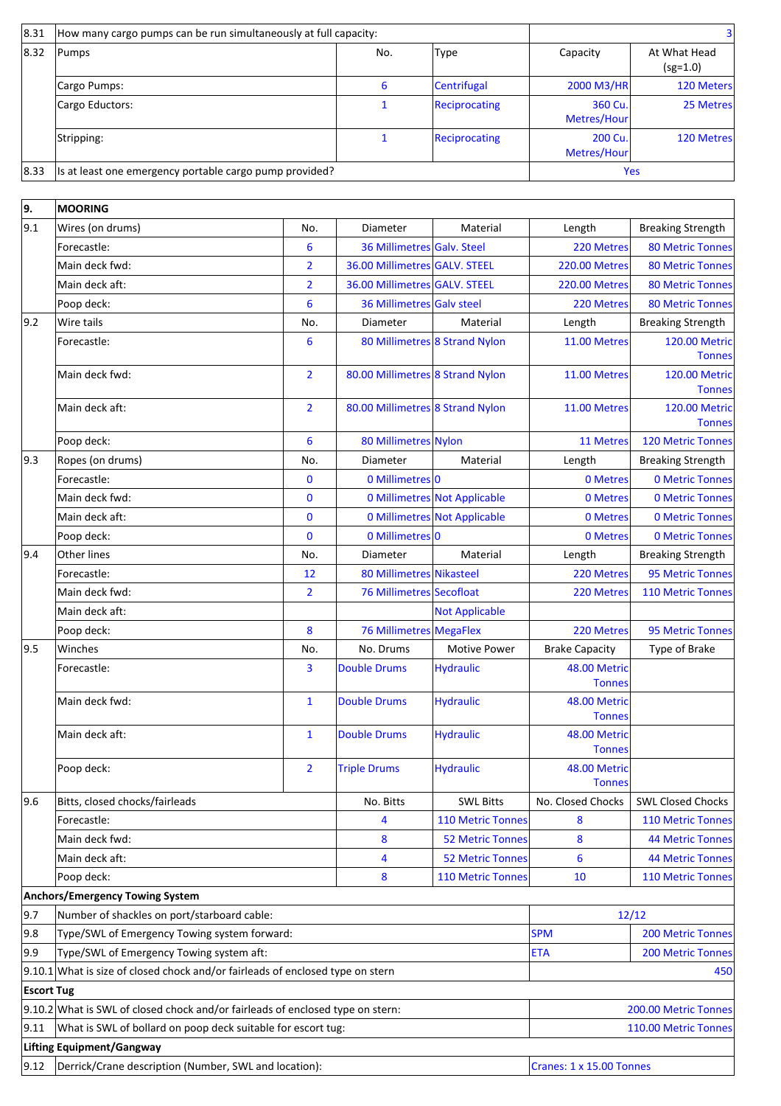| 8.31 | How many cargo pumps can be run simultaneously at full capacity: |     |                    |                        |                            |
|------|------------------------------------------------------------------|-----|--------------------|------------------------|----------------------------|
| 8.32 | Pumps                                                            | No. | <b>Type</b>        | Capacity               | At What Head<br>$(sg=1.0)$ |
|      | Cargo Pumps:                                                     | 6   | <b>Centrifugal</b> | 2000 M3/HR             | 120 Meters                 |
|      | Cargo Eductors:                                                  |     | Reciprocating      | 360 Cu.<br>Metres/Hour | 25 Metres                  |
|      | Stripping:                                                       |     | Reciprocating      | 200 Cu.<br>Metres/Hour | 120 Metres                 |
| 8.33 | Is at least one emergency portable cargo pump provided?          |     |                    | Yes                    |                            |

| 9.                | <b>MOORING</b>                                                                       |                |                                                                                   |                               |                               |                                       |  |
|-------------------|--------------------------------------------------------------------------------------|----------------|-----------------------------------------------------------------------------------|-------------------------------|-------------------------------|---------------------------------------|--|
| 9.1               | Wires (on drums)                                                                     | No.            | Diameter                                                                          | Material                      | Length                        | <b>Breaking Strength</b>              |  |
|                   | Forecastle:                                                                          | 6              | 36 Millimetres Galv. Steel                                                        |                               | 220 Metres                    | <b>80 Metric Tonnes</b>               |  |
|                   | Main deck fwd:                                                                       | $\overline{2}$ | 36.00 Millimetres GALV. STEEL                                                     |                               | <b>220.00 Metres</b>          | <b>80 Metric Tonnes</b>               |  |
|                   | Main deck aft:                                                                       | $\overline{2}$ | 36.00 Millimetres GALV. STEEL                                                     |                               | <b>220.00 Metres</b>          | <b>80 Metric Tonnes</b>               |  |
|                   | Poop deck:                                                                           | 6              | 36 Millimetres Galv steel                                                         |                               | 220 Metres                    | <b>80 Metric Tonnes</b>               |  |
| $ 9.2\rangle$     | Wire tails                                                                           | No.            | Diameter                                                                          | Material                      | Length                        | <b>Breaking Strength</b>              |  |
|                   | Forecastle:                                                                          | 6              |                                                                                   | 80 Millimetres 8 Strand Nylon | 11.00 Metres                  | <b>120.00 Metric</b>                  |  |
|                   |                                                                                      |                |                                                                                   |                               |                               | <b>Tonnes</b>                         |  |
|                   | Main deck fwd:                                                                       | $\overline{2}$ | 80.00 Millimetres 8 Strand Nylon                                                  |                               | 11.00 Metres                  | <b>120.00 Metric</b><br><b>Tonnes</b> |  |
|                   | Main deck aft:                                                                       | $\overline{2}$ |                                                                                   |                               | 11.00 Metres                  |                                       |  |
|                   |                                                                                      |                | 80.00 Millimetres 8 Strand Nylon                                                  |                               |                               | <b>120.00 Metric</b><br><b>Tonnes</b> |  |
|                   | Poop deck:                                                                           | 6              | 80 Millimetres Nylon                                                              |                               | 11 Metres                     | <b>120 Metric Tonnes</b>              |  |
| $ 9.3\rangle$     | Ropes (on drums)                                                                     | No.            | Diameter                                                                          | Material                      | Length                        | <b>Breaking Strength</b>              |  |
|                   | Forecastle:                                                                          | 0              | 0 Millimetres 0                                                                   |                               | 0 Metres                      | <b>0 Metric Tonnes</b>                |  |
|                   | Main deck fwd:                                                                       | $\bf{0}$       |                                                                                   | 0 Millimetres Not Applicable  | 0 Metres                      | <b>0 Metric Tonnes</b>                |  |
|                   | Main deck aft:                                                                       | 0              |                                                                                   | 0 Millimetres Not Applicable  | 0 Metres                      | <b>0 Metric Tonnes</b>                |  |
|                   | Poop deck:                                                                           | 0              | 0 Millimetres 0                                                                   |                               | 0 Metres                      | <b>0 Metric Tonnes</b>                |  |
| 9.4               | Other lines                                                                          | No.            | Diameter                                                                          | Material                      | Length                        | <b>Breaking Strength</b>              |  |
|                   | Forecastle:                                                                          | 12             | 80 Millimetres Nikasteel                                                          |                               | 220 Metres                    | <b>95 Metric Tonnes</b>               |  |
|                   | Main deck fwd:                                                                       | $\overline{2}$ | <b>76 Millimetres Secofloat</b>                                                   |                               | 220 Metres                    | <b>110 Metric Tonnes</b>              |  |
|                   | Main deck aft:                                                                       |                |                                                                                   | <b>Not Applicable</b>         |                               |                                       |  |
|                   | Poop deck:                                                                           | 8              | <b>76 Millimetres MegaFlex</b>                                                    |                               | 220 Metres                    | 95 Metric Tonnes                      |  |
| 9.5               | Winches                                                                              | No.            | No. Drums                                                                         | <b>Motive Power</b>           | <b>Brake Capacity</b>         | Type of Brake                         |  |
|                   | Forecastle:                                                                          | 3              | <b>Double Drums</b>                                                               | <b>Hydraulic</b>              | 48.00 Metric                  |                                       |  |
|                   |                                                                                      |                |                                                                                   |                               | <b>Tonnes</b>                 |                                       |  |
|                   | Main deck fwd:                                                                       | $\mathbf{1}$   | <b>Double Drums</b>                                                               | <b>Hydraulic</b>              | 48.00 Metric                  |                                       |  |
|                   |                                                                                      |                |                                                                                   |                               | <b>Tonnes</b>                 |                                       |  |
|                   | Main deck aft:                                                                       | $\mathbf{1}$   | <b>Double Drums</b>                                                               | <b>Hydraulic</b>              | 48.00 Metric<br><b>Tonnes</b> |                                       |  |
|                   | Poop deck:                                                                           | $\overline{2}$ | <b>Triple Drums</b>                                                               | <b>Hydraulic</b>              | 48.00 Metric                  |                                       |  |
|                   |                                                                                      |                |                                                                                   |                               | <b>Tonnes</b>                 |                                       |  |
| 9.6               | Bitts, closed chocks/fairleads                                                       |                |                                                                                   | <b>SWL Bitts</b>              | No. Closed Chocks             | <b>SWL Closed Chocks</b>              |  |
|                   | Forecastle:                                                                          |                | 4                                                                                 | <b>110 Metric Tonnes</b>      | 8                             | <b>110 Metric Tonnes</b>              |  |
|                   | Main deck fwd:                                                                       |                | 8                                                                                 | <b>52 Metric Tonnes</b>       | 8                             | <b>44 Metric Tonnes</b>               |  |
|                   | Main deck aft:                                                                       |                | 4                                                                                 | <b>52 Metric Tonnes</b>       | 6                             | <b>44 Metric Tonnes</b>               |  |
|                   | Poop deck:                                                                           |                | 8                                                                                 | <b>110 Metric Tonnes</b>      | 10                            | <b>110 Metric Tonnes</b>              |  |
|                   | Anchors/Emergency Towing System                                                      |                |                                                                                   |                               |                               |                                       |  |
| 9.7               | Number of shackles on port/starboard cable:<br>12/12                                 |                |                                                                                   |                               |                               |                                       |  |
| 9.8               | Type/SWL of Emergency Towing system forward:                                         |                |                                                                                   | <b>SPM</b>                    | 200 Metric Tonnes             |                                       |  |
| 9.9               | Type/SWL of Emergency Towing system aft:                                             |                |                                                                                   | <b>ETA</b>                    | <b>200 Metric Tonnes</b>      |                                       |  |
|                   | $9.10.1$ What is size of closed chock and/or fairleads of enclosed type on stern     |                |                                                                                   |                               |                               | 450                                   |  |
| <b>Escort Tug</b> |                                                                                      |                |                                                                                   |                               |                               |                                       |  |
|                   | $9.10.2$ What is SWL of closed chock and/or fairleads of enclosed type on stern:     |                |                                                                                   |                               | 200.00 Metric Tonnes          |                                       |  |
| 9.11              | What is SWL of bollard on poop deck suitable for escort tug:<br>110.00 Metric Tonnes |                |                                                                                   |                               |                               |                                       |  |
|                   | <b>Lifting Equipment/Gangway</b>                                                     |                |                                                                                   |                               |                               |                                       |  |
| 9.12              |                                                                                      |                | Derrick/Crane description (Number, SWL and location):<br>Cranes: 1 x 15.00 Tonnes |                               |                               |                                       |  |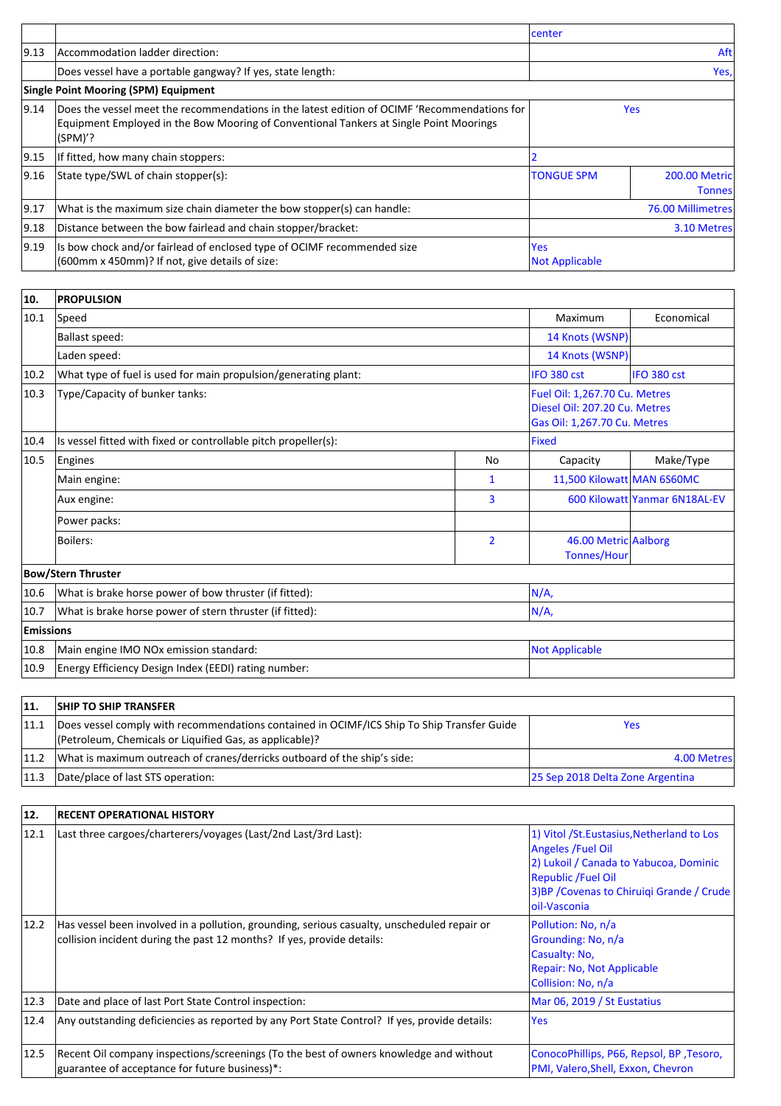|                |                                                                                                                                                                                                   | center                              |                                       |
|----------------|---------------------------------------------------------------------------------------------------------------------------------------------------------------------------------------------------|-------------------------------------|---------------------------------------|
| 9.13           | Accommodation ladder direction:                                                                                                                                                                   | Aft                                 |                                       |
|                | Does vessel have a portable gangway? If yes, state length:                                                                                                                                        |                                     | Yes,                                  |
|                | <b>Single Point Mooring (SPM) Equipment</b>                                                                                                                                                       |                                     |                                       |
| 9.14           | Does the vessel meet the recommendations in the latest edition of OCIMF 'Recommendations for<br>Equipment Employed in the Bow Mooring of Conventional Tankers at Single Point Moorings<br>(SPM)'? |                                     | <b>Yes</b>                            |
| 9.15           | If fitted, how many chain stoppers:                                                                                                                                                               |                                     |                                       |
| 9.16           | State type/SWL of chain stopper(s):                                                                                                                                                               | <b>TONGUE SPM</b>                   | <b>200.00 Metric</b><br><b>Tonnes</b> |
| 9.17           | What is the maximum size chain diameter the bow stopper(s) can handle:                                                                                                                            |                                     | 76.00 Millimetres                     |
| 9.18           | Distance between the bow fairlead and chain stopper/bracket:                                                                                                                                      |                                     | 3.10 Metres                           |
| $ 9.19\rangle$ | Is bow chock and/or fairlead of enclosed type of OCIMF recommended size<br>(600mm x 450mm)? If not, give details of size:                                                                         | <b>Yes</b><br><b>Not Applicable</b> |                                       |

| 10.              | <b>PROPULSION</b>                                                               |                       |                                                                                                |                               |  |
|------------------|---------------------------------------------------------------------------------|-----------------------|------------------------------------------------------------------------------------------------|-------------------------------|--|
| 10.1             | Speed                                                                           |                       | Maximum                                                                                        | Economical                    |  |
|                  | <b>Ballast speed:</b>                                                           | 14 Knots (WSNP)       |                                                                                                |                               |  |
|                  | Laden speed:                                                                    |                       | 14 Knots (WSNP)                                                                                |                               |  |
| 10.2             | What type of fuel is used for main propulsion/generating plant:                 |                       | IFO 380 cst                                                                                    | IFO 380 cst                   |  |
| 10.3             | Type/Capacity of bunker tanks:                                                  |                       | Fuel Oil: 1,267.70 Cu. Metres<br>Diesel Oil: 207.20 Cu. Metres<br>Gas Oil: 1,267.70 Cu. Metres |                               |  |
| 10.4             | Is vessel fitted with fixed or controllable pitch propeller(s):<br><b>Fixed</b> |                       |                                                                                                |                               |  |
| 10.5             | Engines                                                                         | No                    | Capacity                                                                                       | Make/Type                     |  |
|                  | Main engine:                                                                    | 1                     | 11,500 Kilowatt MAN 6S60MC                                                                     |                               |  |
|                  | Aux engine:                                                                     | 3                     |                                                                                                | 600 Kilowatt Yanmar 6N18AL-EV |  |
|                  | Power packs:                                                                    |                       |                                                                                                |                               |  |
|                  | Boilers:                                                                        | $\overline{2}$        | 46.00 Metric Aalborg<br><b>Tonnes/Hour</b>                                                     |                               |  |
|                  | <b>Bow/Stern Thruster</b>                                                       |                       |                                                                                                |                               |  |
| 10.6             | N/A,<br>What is brake horse power of bow thruster (if fitted):                  |                       |                                                                                                |                               |  |
| 10.7             | What is brake horse power of stern thruster (if fitted):                        | N/A,                  |                                                                                                |                               |  |
| <b>Emissions</b> |                                                                                 |                       |                                                                                                |                               |  |
| 10.8             | Main engine IMO NOx emission standard:                                          | <b>Not Applicable</b> |                                                                                                |                               |  |
| 10.9             | Energy Efficiency Design Index (EEDI) rating number:                            |                       |                                                                                                |                               |  |

| 11.  | <b>SHIP TO SHIP TRANSFER</b>                                                                                                                          |                                  |
|------|-------------------------------------------------------------------------------------------------------------------------------------------------------|----------------------------------|
| 11.1 | Does vessel comply with recommendations contained in OCIMF/ICS Ship To Ship Transfer Guide<br>(Petroleum, Chemicals or Liquified Gas, as applicable)? | Yes                              |
| 11.2 | What is maximum outreach of cranes/derricks outboard of the ship's side:                                                                              | 4.00 Metres                      |
| 11.3 | Date/place of last STS operation:                                                                                                                     | 25 Sep 2018 Delta Zone Argentina |

| 12.            | <b>RECENT OPERATIONAL HISTORY</b>                                                                                                                                     |                                                                                                                                                                                                               |  |  |
|----------------|-----------------------------------------------------------------------------------------------------------------------------------------------------------------------|---------------------------------------------------------------------------------------------------------------------------------------------------------------------------------------------------------------|--|--|
| 12.1           | Last three cargoes/charterers/voyages (Last/2nd Last/3rd Last):                                                                                                       | 1) Vitol / St. Eustasius, Netherland to Los<br><b>Angeles / Fuel Oil</b><br>2) Lukoil / Canada to Yabucoa, Dominic<br><b>Republic /Fuel Oil</b><br>3)BP / Covenas to Chiruiqi Grande / Crude<br>loil-Vasconia |  |  |
| $ 12.2\rangle$ | Has vessel been involved in a pollution, grounding, serious casualty, unscheduled repair or<br>collision incident during the past 12 months? If yes, provide details: | Pollution: No, n/a<br>Grounding: No, n/a<br>Casualty: No,<br>Repair: No, Not Applicable<br>Collision: No, n/a                                                                                                 |  |  |
| $ 12.3\rangle$ | Date and place of last Port State Control inspection:                                                                                                                 | Mar 06, 2019 / St Eustatius                                                                                                                                                                                   |  |  |
| 12.4           | Any outstanding deficiencies as reported by any Port State Control? If yes, provide details:                                                                          | <b>Yes</b>                                                                                                                                                                                                    |  |  |
| 12.5           | Recent Oil company inspections/screenings (To the best of owners knowledge and without<br>guarantee of acceptance for future business)*:                              | ConocoPhillips, P66, Repsol, BP, Tesoro,<br>PMI, Valero, Shell, Exxon, Chevron                                                                                                                                |  |  |